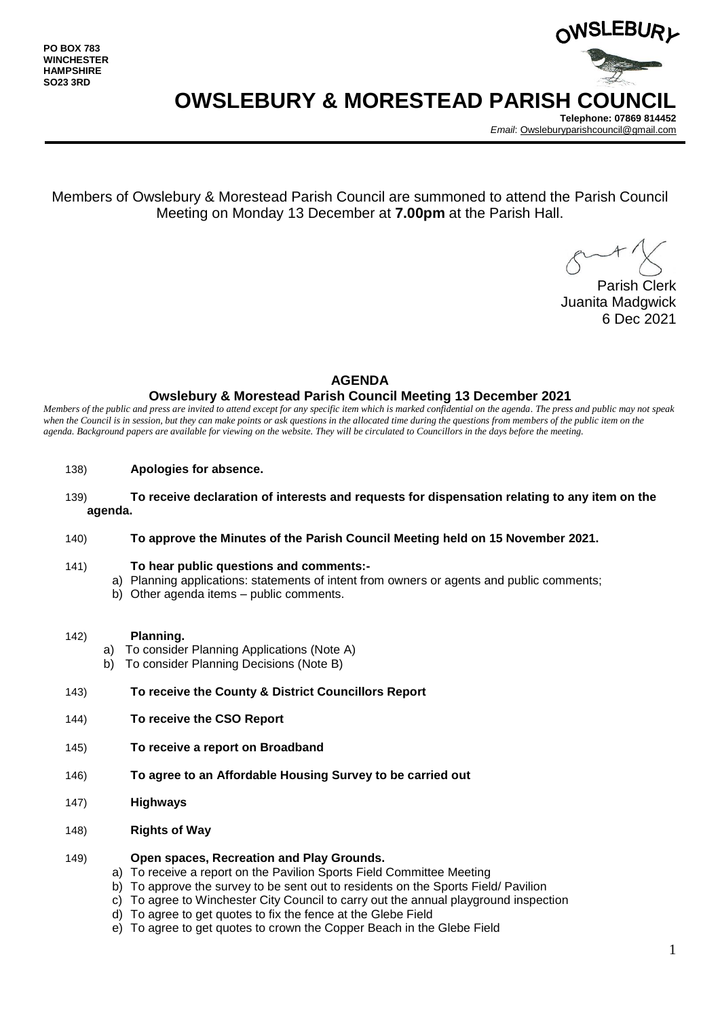

**OWSLEBURY & MORESTEAD PARISH COUNCIL**

**Telephone: 07869 814452** *Email*[: Owsleburyparishcouncil@gmail.com](mailto:Owsleburyparishcouncil@gmail.com)

Members of Owslebury & Morestead Parish Council are summoned to attend the Parish Council Meeting on Monday 13 December at **7.00pm** at the Parish Hall.

Parish Clerk Juanita Madgwick 6 Dec 2021

## **AGENDA**

## **Owslebury & Morestead Parish Council Meeting 13 December 2021**

*Members of the public and press are invited to attend except for any specific item which is marked confidential on the agenda. The press and public may not speak*  when the Council is in session, but they can make points or ask questions in the allocated time during the questions from members of the public item on the *agenda. Background papers are available for viewing on the website. They will be circulated to Councillors in the days before the meeting.* 

- 138) **Apologies for absence.**
- 139) **To receive declaration of interests and requests for dispensation relating to any item on the agenda.**
- 140) **To approve the Minutes of the Parish Council Meeting held on 15 November 2021.**
- 141) **To hear public questions and comments:**
	- a) Planning applications: statements of intent from owners or agents and public comments;
	- b) Other agenda items public comments.
- 142) **Planning.** 
	- a) To consider Planning Applications (Note A)
	- b) To consider Planning Decisions (Note B)
- 143) **To receive the County & District Councillors Report**
- 144) **To receive the CSO Report**
- 145) **To receive a report on Broadband**
- 146) **To agree to an Affordable Housing Survey to be carried out**
- 147) **Highways**
- 148) **Rights of Way**

#### 149) **Open spaces, Recreation and Play Grounds.**

- a) To receive a report on the Pavilion Sports Field Committee Meeting
- b) To approve the survey to be sent out to residents on the Sports Field/ Pavilion
- c) To agree to Winchester City Council to carry out the annual playground inspection
- d) To agree to get quotes to fix the fence at the Glebe Field
- e) To agree to get quotes to crown the Copper Beach in the Glebe Field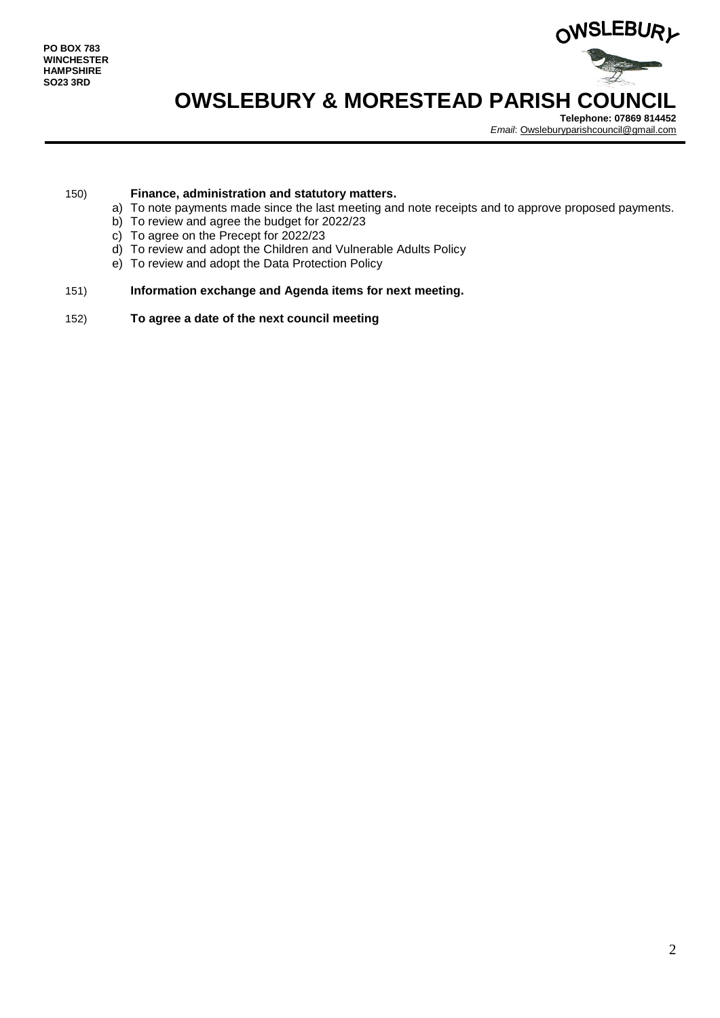

# **OWSLEBURY & MORESTEAD PARISH COUNCIL**

**Telephone: 07869 814452** *Email*[: Owsleburyparishcouncil@gmail.com](mailto:Owsleburyparishcouncil@gmail.com)

### 150) **Finance, administration and statutory matters.**

- a) To note payments made since the last meeting and note receipts and to approve proposed payments.
- b) To review and agree the budget for 2022/23
- c) To agree on the Precept for 2022/23
- d) To review and adopt the Children and Vulnerable Adults Policy
- e) To review and adopt the Data Protection Policy

### 151) **Information exchange and Agenda items for next meeting.**

152) **To agree a date of the next council meeting**